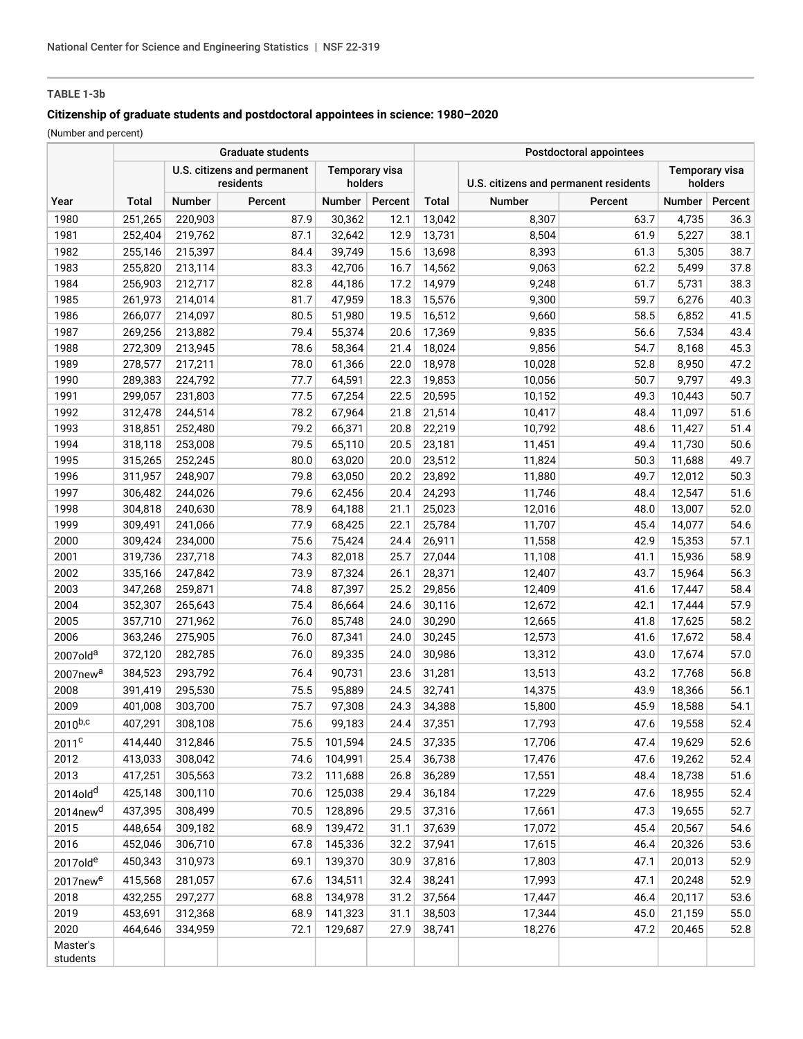# **TABLE 1-3b**

# **Citizenship of graduate students and postdoctoral appointees in science: 1980–2020**

(Number and percent)

|                      | <b>Graduate students</b>                 |         |         |                                  |         | Postdoctoral appointees |                                       |         |                                  |         |
|----------------------|------------------------------------------|---------|---------|----------------------------------|---------|-------------------------|---------------------------------------|---------|----------------------------------|---------|
|                      | U.S. citizens and permanent<br>residents |         |         | <b>Temporary visa</b><br>holders |         |                         | U.S. citizens and permanent residents |         | <b>Temporary visa</b><br>holders |         |
| Year                 | Total                                    | Number  | Percent | Number                           | Percent | Total                   | Number                                | Percent | Number                           | Percent |
| 1980                 | 251,265                                  | 220,903 | 87.9    | 30,362                           | 12.1    | 13,042                  | 8,307                                 | 63.7    | 4,735                            | 36.3    |
| 1981                 | 252,404                                  | 219,762 | 87.1    | 32,642                           | 12.9    | 13,731                  | 8,504                                 | 61.9    | 5,227                            | 38.1    |
| 1982                 | 255,146                                  | 215,397 | 84.4    | 39,749                           | 15.6    | 13,698                  | 8,393                                 | 61.3    | 5,305                            | 38.7    |
| 1983                 | 255,820                                  | 213,114 | 83.3    | 42,706                           | 16.7    | 14,562                  | 9,063                                 | 62.2    | 5,499                            | 37.8    |
| 1984                 | 256,903                                  | 212,717 | 82.8    | 44,186                           | 17.2    | 14,979                  | 9,248                                 | 61.7    | 5,731                            | 38.3    |
| 1985                 | 261,973                                  | 214,014 | 81.7    | 47,959                           | 18.3    | 15,576                  | 9,300                                 | 59.7    | 6,276                            | 40.3    |
| 1986                 | 266,077                                  | 214,097 | 80.5    | 51,980                           | 19.5    | 16,512                  | 9,660                                 | 58.5    | 6,852                            | 41.5    |
| 1987                 | 269,256                                  | 213,882 | 79.4    | 55,374                           | 20.6    | 17,369                  | 9,835                                 | 56.6    | 7,534                            | 43.4    |
| 1988                 | 272,309                                  | 213,945 | 78.6    | 58,364                           | 21.4    | 18,024                  | 9,856                                 | 54.7    | 8,168                            | 45.3    |
| 1989                 | 278,577                                  | 217,211 | 78.0    | 61,366                           | 22.0    | 18,978                  | 10,028                                | 52.8    | 8,950                            | 47.2    |
| 1990                 | 289,383                                  | 224,792 | 77.7    | 64,591                           | 22.3    | 19,853                  | 10,056                                | 50.7    | 9,797                            | 49.3    |
| 1991                 | 299,057                                  | 231,803 | 77.5    | 67,254                           | 22.5    | 20,595                  | 10,152                                | 49.3    | 10,443                           | 50.7    |
| 1992                 | 312,478                                  | 244,514 | 78.2    | 67,964                           | 21.8    | 21,514                  | 10,417                                | 48.4    | 11,097                           | 51.6    |
| 1993                 | 318,851                                  | 252,480 | 79.2    | 66,371                           | 20.8    | 22,219                  | 10,792                                | 48.6    | 11,427                           | 51.4    |
| 1994                 | 318,118                                  | 253,008 | 79.5    | 65,110                           | 20.5    | 23,181                  | 11,451                                | 49.4    | 11,730                           | 50.6    |
| 1995                 | 315,265                                  | 252,245 | 80.0    | 63,020                           | 20.0    | 23,512                  | 11,824                                | 50.3    | 11,688                           | 49.7    |
| 1996                 | 311,957                                  | 248,907 | 79.8    | 63,050                           | 20.2    | 23,892                  | 11,880                                | 49.7    | 12,012                           | 50.3    |
| 1997                 | 306,482                                  | 244,026 | 79.6    | 62,456                           | 20.4    | 24,293                  | 11,746                                | 48.4    | 12,547                           | 51.6    |
| 1998                 | 304,818                                  | 240,630 | 78.9    | 64,188                           | 21.1    | 25,023                  | 12,016                                | 48.0    | 13,007                           | 52.0    |
| 1999                 | 309,491                                  | 241,066 | 77.9    | 68,425                           | 22.1    | 25,784                  | 11,707                                | 45.4    | 14,077                           | 54.6    |
| 2000                 | 309,424                                  | 234,000 | 75.6    | 75,424                           | 24.4    | 26,911                  | 11,558                                | 42.9    | 15,353                           | 57.1    |
| 2001                 | 319,736                                  | 237,718 | 74.3    | 82,018                           | 25.7    | 27,044                  | 11,108                                | 41.1    | 15,936                           | 58.9    |
| 2002                 | 335,166                                  | 247,842 | 73.9    | 87,324                           | 26.1    | 28,371                  | 12,407                                | 43.7    | 15,964                           | 56.3    |
| 2003                 | 347,268                                  | 259,871 | 74.8    | 87,397                           | 25.2    | 29,856                  | 12,409                                | 41.6    | 17,447                           | 58.4    |
| 2004                 | 352,307                                  | 265,643 | 75.4    | 86,664                           | 24.6    | 30,116                  | 12,672                                | 42.1    | 17,444                           | 57.9    |
| 2005                 | 357,710                                  | 271,962 | 76.0    | 85,748                           | 24.0    | 30,290                  | 12,665                                | 41.8    | 17,625                           | 58.2    |
| 2006                 | 363,246                                  | 275,905 | 76.0    | 87,341                           | 24.0    | 30,245                  | 12,573                                | 41.6    | 17,672                           | 58.4    |
| 2007old <sup>a</sup> | 372,120                                  | 282,785 | 76.0    | 89,335                           | 24.0    | 30,986                  | 13,312                                | 43.0    | 17,674                           | 57.0    |
| 2007new <sup>a</sup> | 384,523                                  | 293,792 | 76.4    | 90,731                           | 23.6    | 31,281                  | 13,513                                | 43.2    | 17,768                           | 56.8    |
| 2008                 | 391,419                                  | 295,530 | 75.5    | 95,889                           | 24.5    | 32,741                  | 14,375                                | 43.9    | 18,366                           | 56.1    |
| 2009                 | 401,008                                  | 303,700 | 75.7    | 97,308                           | 24.3    | 34,388                  | 15,800                                | 45.9    | 18,588                           | 54.1    |
| $2010^{b,c}$         | 407,291                                  | 308,108 | 75.6    | 99,183                           | 24.4    | 37,351                  | 17,793                                | 47.6    | 19,558                           | 52.4    |
| 2011 <sup>c</sup>    | 414,440                                  | 312,846 | 75.5    | 101,594                          | 24.5    | 37,335                  | 17,706                                | 47.4    | 19,629                           | 52.6    |
| 2012                 | 413,033                                  | 308,042 | 74.6    | 104,991                          | 25.4    | 36,738                  | 17,476                                | 47.6    | 19,262                           | 52.4    |
| 2013                 | 417,251                                  | 305,563 | 73.2    | 111,688                          | 26.8    | 36,289                  | 17,551                                | 48.4    | 18,738                           | 51.6    |
| 2014old <sup>d</sup> | 425,148                                  | 300,110 | 70.6    | 125,038                          | 29.4    | 36,184                  | 17,229                                | 47.6    | 18,955                           | 52.4    |
| 2014new <sup>d</sup> | 437,395                                  | 308,499 | 70.5    | 128,896                          | 29.5    | 37,316                  | 17,661                                | 47.3    | 19,655                           | 52.7    |
| 2015                 | 448,654                                  | 309,182 | 68.9    | 139,472                          | 31.1    | 37,639                  | 17,072                                | 45.4    | 20,567                           | 54.6    |
| 2016                 | 452,046                                  | 306,710 | 67.8    | 145,336                          | 32.2    | 37,941                  | 17,615                                | 46.4    | 20,326                           | 53.6    |
| 2017olde             | 450,343                                  | 310,973 | 69.1    | 139,370                          | 30.9    | 37,816                  | 17,803                                | 47.1    | 20,013                           | 52.9    |
| 2017new <sup>e</sup> | 415,568                                  | 281,057 | 67.6    | 134,511                          | 32.4    | 38,241                  | 17,993                                | 47.1    | 20,248                           | 52.9    |
| 2018                 | 432,255                                  | 297,277 | 68.8    | 134,978                          | 31.2    | 37,564                  | 17,447                                | 46.4    | 20,117                           | 53.6    |
| 2019                 | 453,691                                  | 312,368 | 68.9    | 141,323                          | 31.1    | 38,503                  | 17,344                                | 45.0    | 21,159                           | 55.0    |
| 2020                 | 464,646                                  | 334,959 | 72.1    | 129,687                          | 27.9    | 38,741                  | 18,276                                | 47.2    | 20,465                           | 52.8    |
| Master's<br>students |                                          |         |         |                                  |         |                         |                                       |         |                                  |         |